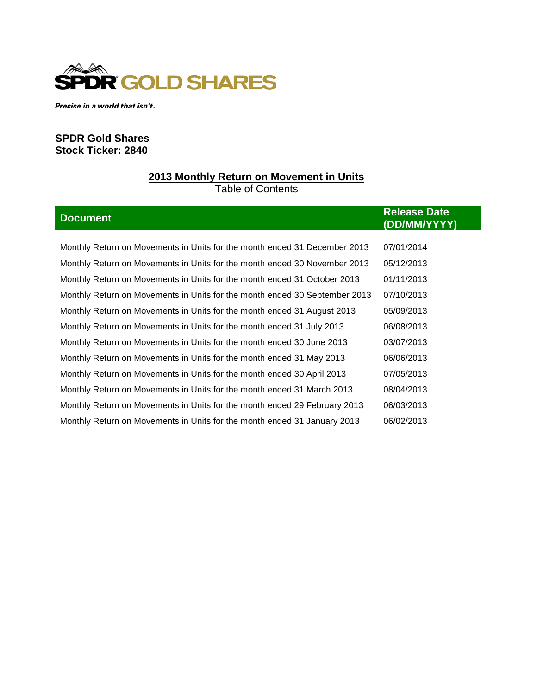

Precise in a world that isn't.

## **SPDR Gold Shares Stock Ticker: 2840**

# **2013 Monthly Return on Movement in Units** Table of Contents

| <b>Document</b>                                                            | <b>Release Date</b><br>(DD/MM/YYYY) |  |
|----------------------------------------------------------------------------|-------------------------------------|--|
|                                                                            |                                     |  |
| Monthly Return on Movements in Units for the month ended 31 December 2013  | 07/01/2014                          |  |
| Monthly Return on Movements in Units for the month ended 30 November 2013  | 05/12/2013                          |  |
| Monthly Return on Movements in Units for the month ended 31 October 2013   | 01/11/2013                          |  |
| Monthly Return on Movements in Units for the month ended 30 September 2013 | 07/10/2013                          |  |
| Monthly Return on Movements in Units for the month ended 31 August 2013    | 05/09/2013                          |  |
| Monthly Return on Movements in Units for the month ended 31 July 2013      | 06/08/2013                          |  |
| Monthly Return on Movements in Units for the month ended 30 June 2013      | 03/07/2013                          |  |
| Monthly Return on Movements in Units for the month ended 31 May 2013       | 06/06/2013                          |  |
| Monthly Return on Movements in Units for the month ended 30 April 2013     | 07/05/2013                          |  |
| Monthly Return on Movements in Units for the month ended 31 March 2013     | 08/04/2013                          |  |
| Monthly Return on Movements in Units for the month ended 29 February 2013  | 06/03/2013                          |  |
| Monthly Return on Movements in Units for the month ended 31 January 2013   | 06/02/2013                          |  |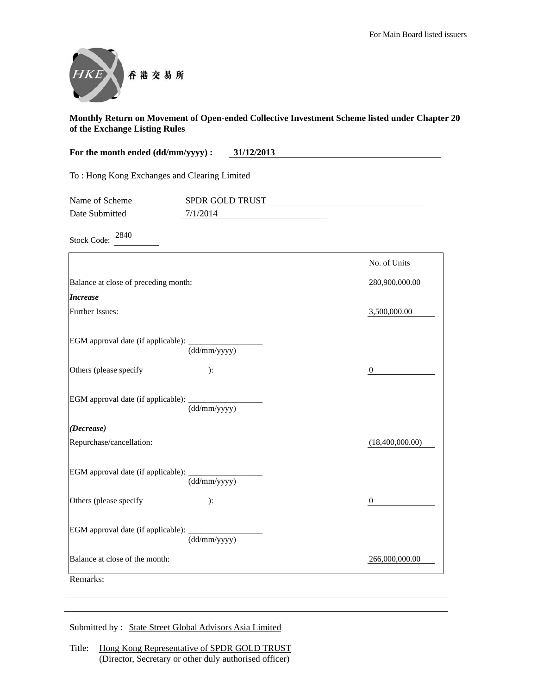

| For the month ended (dd/mm/yyyy) :<br>31/12/2013 |                 |                  |
|--------------------------------------------------|-----------------|------------------|
| To: Hong Kong Exchanges and Clearing Limited     |                 |                  |
| Name of Scheme                                   | SPDR GOLD TRUST |                  |
| Date Submitted                                   | 7/1/2014        |                  |
| 2840<br><b>Stock Code:</b>                       |                 |                  |
|                                                  |                 | No. of Units     |
| Balance at close of preceding month:             |                 | 280,900,000.00   |
| <b>Increase</b>                                  |                 |                  |
| Further Issues:                                  |                 | 3,500,000.00     |
| EGM approval date (if applicable):               | (dd/mm/yyyy)    |                  |
| Others (please specify                           | ):              | $\boldsymbol{0}$ |
| EGM approval date (if applicable):               | (dd/mm/yyyy)    |                  |
| (Decrease)                                       |                 |                  |
| Repurchase/cancellation:                         |                 | (18,400,000.00)  |
| EGM approval date (if applicable):               | (dd/mm/yyyy)    |                  |
| Others (please specify                           | ):              | 0                |
| EGM approval date (if applicable):               | (dd/mm/yyyy)    |                  |
| Balance at close of the month:                   |                 | 266,000,000.00   |
| Remarks:                                         |                 |                  |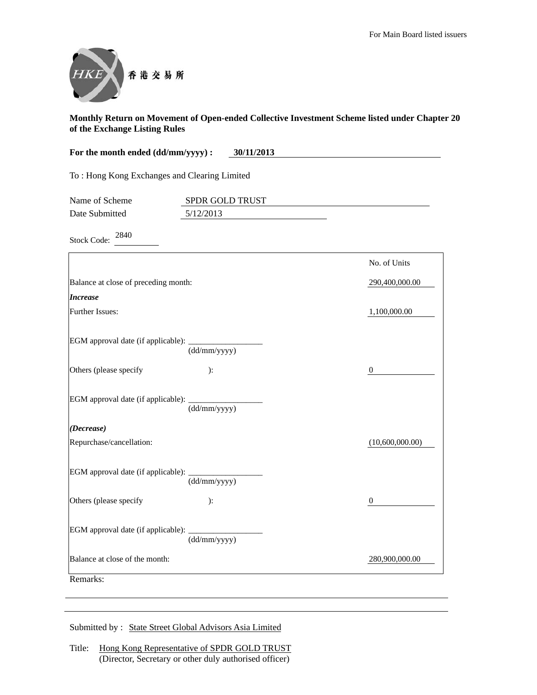

| For the month ended (dd/mm/yyyy):<br>30/11/2013 |                 |                 |  |
|-------------------------------------------------|-----------------|-----------------|--|
| To: Hong Kong Exchanges and Clearing Limited    |                 |                 |  |
| Name of Scheme                                  | SPDR GOLD TRUST |                 |  |
| Date Submitted                                  | 5/12/2013       |                 |  |
| 2840<br><b>Stock Code:</b>                      |                 |                 |  |
|                                                 |                 | No. of Units    |  |
| Balance at close of preceding month:            |                 | 290,400,000.00  |  |
| <b>Increase</b>                                 |                 |                 |  |
| Further Issues:                                 |                 | 1,100,000.00    |  |
| EGM approval date (if applicable):              | (dd/mm/yyyy)    |                 |  |
| Others (please specify                          | ):              | 0               |  |
| EGM approval date (if applicable):              | (dd/mm/yyyy)    |                 |  |
| (Decrease)                                      |                 |                 |  |
| Repurchase/cancellation:                        |                 | (10,600,000.00) |  |
| EGM approval date (if applicable):              | (dd/mm/yyyy)    |                 |  |
| Others (please specify                          | ):              | 0               |  |
| EGM approval date (if applicable):              | (dd/mm/yyyy)    |                 |  |
| Balance at close of the month:                  |                 | 280,900,000.00  |  |
| Remarks:                                        |                 |                 |  |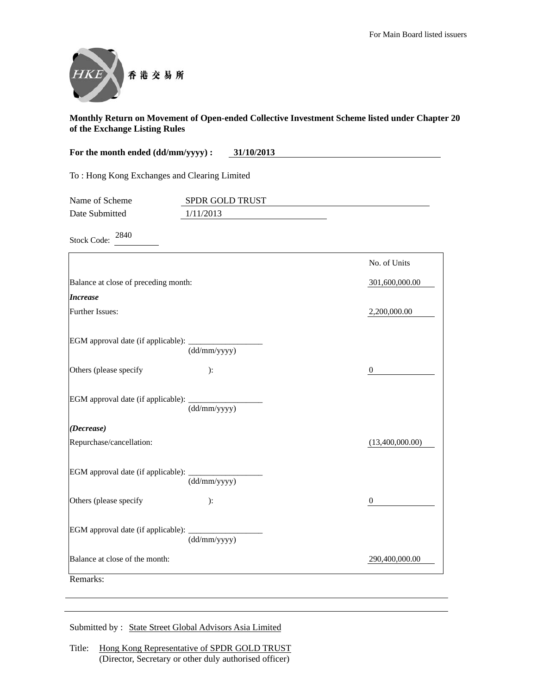

| For the month ended (dd/mm/yyyy) :           | 31/10/2013      |                  |
|----------------------------------------------|-----------------|------------------|
| To: Hong Kong Exchanges and Clearing Limited |                 |                  |
| Name of Scheme                               | SPDR GOLD TRUST |                  |
| Date Submitted                               | 1/11/2013       |                  |
| 2840<br><b>Stock Code:</b>                   |                 |                  |
|                                              |                 | No. of Units     |
| Balance at close of preceding month:         |                 | 301,600,000.00   |
| <b>Increase</b>                              |                 |                  |
| Further Issues:                              |                 | 2,200,000.00     |
| EGM approval date (if applicable):           | (dd/mm/yyyy)    |                  |
| Others (please specify                       | ):              | $\boldsymbol{0}$ |
| EGM approval date (if applicable):           | (dd/mm/yyyy)    |                  |
| (Decrease)                                   |                 |                  |
| Repurchase/cancellation:                     |                 | (13,400,000.00)  |
| EGM approval date (if applicable):           | (dd/mm/yyyy)    |                  |
| Others (please specify                       | ):              | $\mathbf{0}$     |
| EGM approval date (if applicable):           | (dd/mm/yyyy)    |                  |
| Balance at close of the month:               |                 | 290,400,000.00   |
| Remarks:                                     |                 |                  |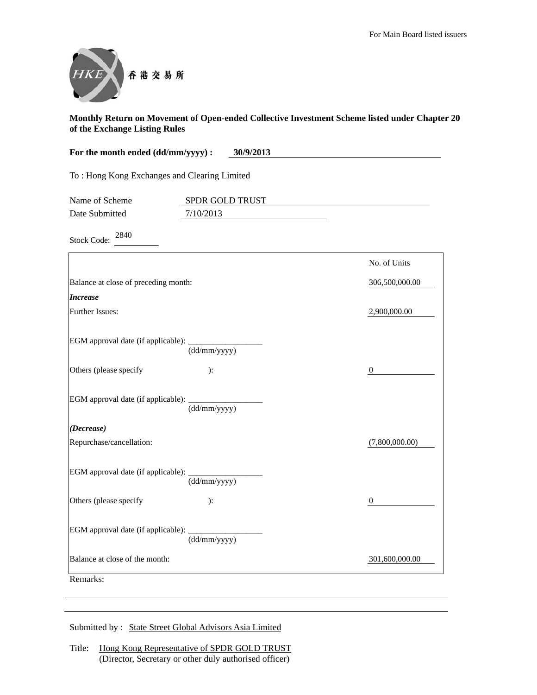

| For the month ended (dd/mm/yyyy) :           | 30/9/2013       |                  |
|----------------------------------------------|-----------------|------------------|
| To: Hong Kong Exchanges and Clearing Limited |                 |                  |
| Name of Scheme                               | SPDR GOLD TRUST |                  |
| Date Submitted                               | 7/10/2013       |                  |
| 2840<br><b>Stock Code:</b>                   |                 |                  |
|                                              |                 | No. of Units     |
| Balance at close of preceding month:         |                 | 306,500,000.00   |
| <b>Increase</b>                              |                 |                  |
| <b>Further Issues:</b>                       |                 | 2,900,000.00     |
| EGM approval date (if applicable):           | (dd/mm/yyyy)    |                  |
| Others (please specify                       | ):              | $\boldsymbol{0}$ |
| EGM approval date (if applicable):           | (dd/mm/yyyy)    |                  |
| (Decrease)                                   |                 |                  |
| Repurchase/cancellation:                     |                 | (7,800,000.00)   |
| EGM approval date (if applicable):           | (dd/mm/yyyy)    |                  |
| Others (please specify                       | ):              | $\mathbf{0}$     |
| EGM approval date (if applicable):           | (dd/mm/yyyy)    |                  |
| Balance at close of the month:               |                 | 301,600,000.00   |
| Remarks:                                     |                 |                  |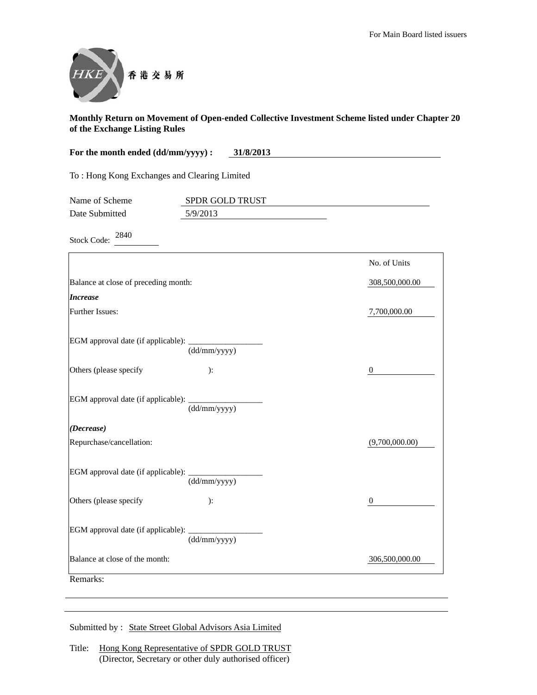

| For the month ended (dd/mm/yyyy) :           | 31/8/2013       |                  |
|----------------------------------------------|-----------------|------------------|
| To: Hong Kong Exchanges and Clearing Limited |                 |                  |
| Name of Scheme                               | SPDR GOLD TRUST |                  |
| Date Submitted                               | 5/9/2013        |                  |
| 2840<br><b>Stock Code:</b>                   |                 |                  |
|                                              |                 | No. of Units     |
| Balance at close of preceding month:         |                 | 308,500,000.00   |
| <b>Increase</b>                              |                 |                  |
| Further Issues:                              |                 | 7,700,000.00     |
| EGM approval date (if applicable):           | (dd/mm/yyyy)    |                  |
| Others (please specify                       | ):              | $\mathbf{0}$     |
| EGM approval date (if applicable):           | (dd/mm/yyyy)    |                  |
| (Decrease)                                   |                 |                  |
| Repurchase/cancellation:                     |                 | (9,700,000.00)   |
| EGM approval date (if applicable):           | (dd/mm/yyyy)    |                  |
| Others (please specify                       | $\cdot$         | $\boldsymbol{0}$ |
| EGM approval date (if applicable):           | (dd/mm/yyyy)    |                  |
| Balance at close of the month:               |                 | 306,500,000.00   |
| Remarks:                                     |                 |                  |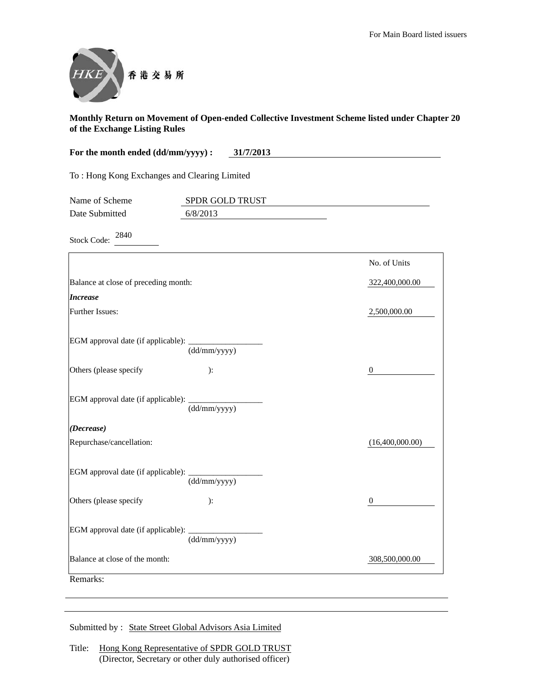

| For the month ended (dd/mm/yyyy) :           | 31/7/2013       |                  |
|----------------------------------------------|-----------------|------------------|
| To: Hong Kong Exchanges and Clearing Limited |                 |                  |
| Name of Scheme                               | SPDR GOLD TRUST |                  |
| Date Submitted                               | 6/8/2013        |                  |
| 2840<br><b>Stock Code:</b>                   |                 |                  |
|                                              |                 | No. of Units     |
| Balance at close of preceding month:         |                 | 322,400,000.00   |
| <b>Increase</b>                              |                 |                  |
| Further Issues:                              |                 | 2,500,000.00     |
| EGM approval date (if applicable):           | (dd/mm/yyyy)    |                  |
| Others (please specify                       | ):              | $\mathbf{0}$     |
| EGM approval date (if applicable):           | (dd/mm/yyyy)    |                  |
| (Decrease)                                   |                 |                  |
| Repurchase/cancellation:                     |                 | (16,400,000.00)  |
| EGM approval date (if applicable):           | (dd/mm/yyyy)    |                  |
| Others (please specify                       | $\cdot$         | $\boldsymbol{0}$ |
| EGM approval date (if applicable):           | (dd/mm/yyyy)    |                  |
| Balance at close of the month:               |                 | 308,500,000.00   |
| Remarks:                                     |                 |                  |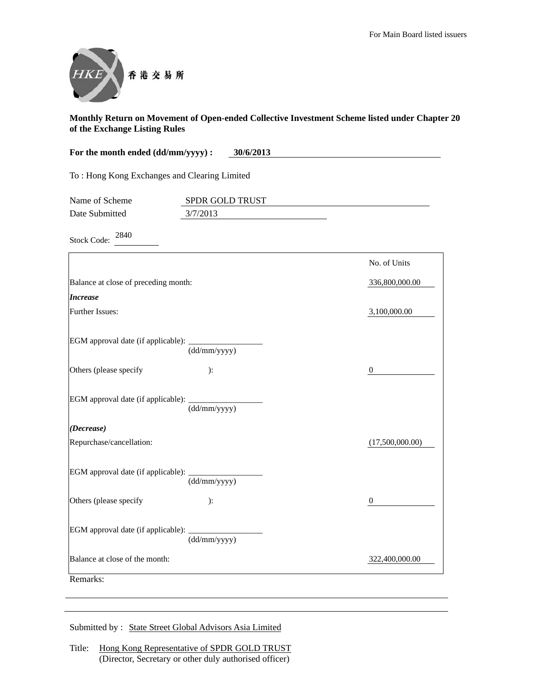

| For the month ended (dd/mm/yyyy) :<br>30/6/2013 |                 |                 |
|-------------------------------------------------|-----------------|-----------------|
| To: Hong Kong Exchanges and Clearing Limited    |                 |                 |
| Name of Scheme                                  | SPDR GOLD TRUST |                 |
| Date Submitted                                  | 3/7/2013        |                 |
| 2840<br><b>Stock Code:</b>                      |                 |                 |
|                                                 |                 | No. of Units    |
| Balance at close of preceding month:            |                 | 336,800,000.00  |
| <b>Increase</b>                                 |                 |                 |
| Further Issues:                                 |                 | 3,100,000.00    |
| EGM approval date (if applicable):              | (dd/mm/yyyy)    |                 |
| Others (please specify                          | ):              | $\theta$        |
| EGM approval date (if applicable):              | (dd/mm/yyyy)    |                 |
| (Decrease)                                      |                 |                 |
| Repurchase/cancellation:                        |                 | (17,500,000.00) |
| EGM approval date (if applicable):              | (dd/mm/yyyy)    |                 |
| Others (please specify                          | ):              | 0               |
| EGM approval date (if applicable):              | (dd/mm/yyyy)    |                 |
| Balance at close of the month:                  |                 | 322,400,000.00  |
| Remarks:                                        |                 |                 |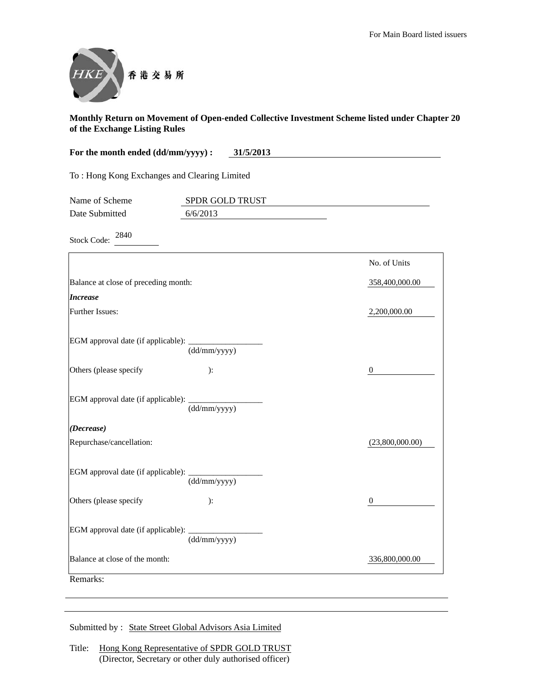

| For the month ended (dd/mm/yyyy) :           | 31/5/2013       |                 |
|----------------------------------------------|-----------------|-----------------|
| To: Hong Kong Exchanges and Clearing Limited |                 |                 |
| Name of Scheme                               | SPDR GOLD TRUST |                 |
| Date Submitted                               | 6/6/2013        |                 |
| 2840<br><b>Stock Code:</b>                   |                 |                 |
|                                              |                 | No. of Units    |
| Balance at close of preceding month:         |                 | 358,400,000.00  |
| <b>Increase</b>                              |                 |                 |
| Further Issues:                              |                 | 2,200,000.00    |
| EGM approval date (if applicable):           | (dd/mm/yyyy)    |                 |
| Others (please specify                       | ):              | $\mathbf{0}$    |
| EGM approval date (if applicable):           | (dd/mm/yyyy)    |                 |
| (Decrease)                                   |                 |                 |
| Repurchase/cancellation:                     |                 | (23,800,000.00) |
| EGM approval date (if applicable):           | (dd/mm/yyyy)    |                 |
| Others (please specify                       | ):              | 0               |
| EGM approval date (if applicable):           | (dd/mm/yyyy)    |                 |
| Balance at close of the month:               |                 | 336,800,000.00  |
| Remarks:                                     |                 |                 |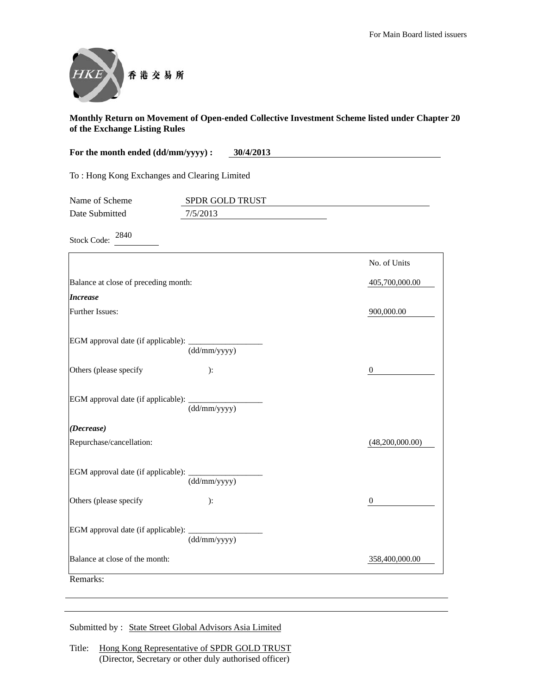

| For the month ended (dd/mm/yyyy) :           | 30/4/2013       |                  |
|----------------------------------------------|-----------------|------------------|
| To: Hong Kong Exchanges and Clearing Limited |                 |                  |
| Name of Scheme                               | SPDR GOLD TRUST |                  |
| Date Submitted                               | 7/5/2013        |                  |
| 2840<br><b>Stock Code:</b>                   |                 |                  |
|                                              |                 | No. of Units     |
| Balance at close of preceding month:         |                 | 405,700,000.00   |
| <b>Increase</b>                              |                 |                  |
| <b>Further Issues:</b>                       |                 | 900,000.00       |
| EGM approval date (if applicable):           | (dd/mm/yyyy)    |                  |
| Others (please specify                       | ):              | 0                |
| EGM approval date (if applicable):           | (dd/mm/yyyy)    |                  |
| (Decrease)                                   |                 |                  |
| Repurchase/cancellation:                     |                 | (48,200,000.00)  |
| EGM approval date (if applicable):           | (dd/mm/yyyy)    |                  |
| Others (please specify                       | ):              | $\boldsymbol{0}$ |
| EGM approval date (if applicable):           | (dd/mm/yyyy)    |                  |
| Balance at close of the month:               |                 | 358,400,000.00   |
| Remarks:                                     |                 |                  |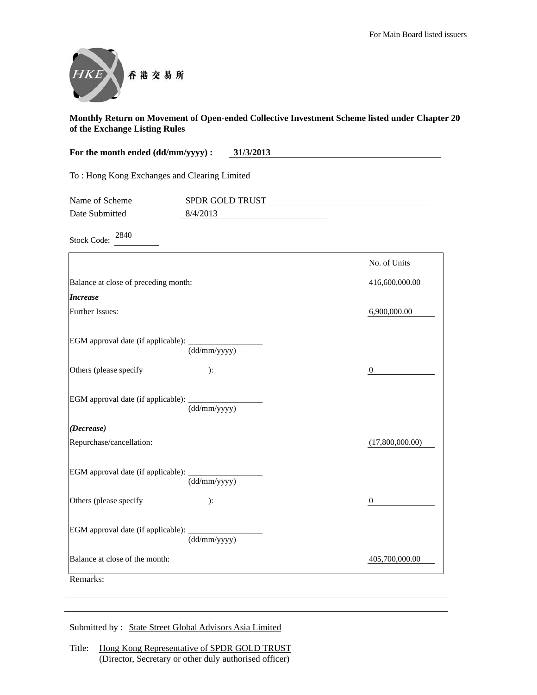

| For the month ended (dd/mm/yyyy) :<br>31/3/2013 |                 |                 |
|-------------------------------------------------|-----------------|-----------------|
| To: Hong Kong Exchanges and Clearing Limited    |                 |                 |
| Name of Scheme                                  | SPDR GOLD TRUST |                 |
| Date Submitted                                  | 8/4/2013        |                 |
| 2840<br><b>Stock Code:</b>                      |                 |                 |
|                                                 |                 | No. of Units    |
| Balance at close of preceding month:            |                 | 416,600,000.00  |
| <b>Increase</b>                                 |                 |                 |
| Further Issues:                                 |                 | 6,900,000.00    |
| EGM approval date (if applicable):              | (dd/mm/yyyy)    |                 |
| Others (please specify                          | ):              | $\mathbf{0}$    |
| EGM approval date (if applicable):              | (dd/mm/yyyy)    |                 |
| (Decrease)                                      |                 |                 |
| Repurchase/cancellation:                        |                 | (17,800,000.00) |
| EGM approval date (if applicable):              | (dd/mm/yyyy)    |                 |
| Others (please specify                          | ):              | 0               |
| EGM approval date (if applicable):              | (dd/mm/yyyy)    |                 |
| Balance at close of the month:                  |                 | 405,700,000.00  |
| Remarks:                                        |                 |                 |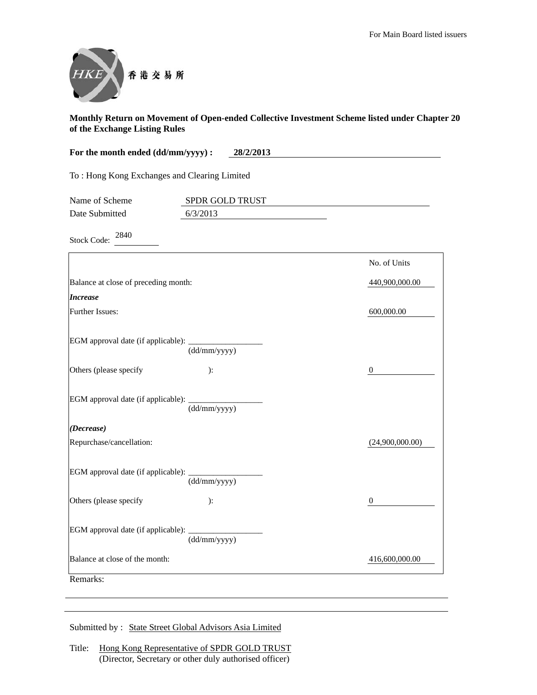

| For the month ended (dd/mm/yyyy) :           | 28/2/2013       |                  |
|----------------------------------------------|-----------------|------------------|
| To: Hong Kong Exchanges and Clearing Limited |                 |                  |
| Name of Scheme                               | SPDR GOLD TRUST |                  |
| Date Submitted                               | 6/3/2013        |                  |
| 2840<br><b>Stock Code:</b>                   |                 |                  |
|                                              |                 | No. of Units     |
| Balance at close of preceding month:         |                 | 440,900,000.00   |
| <b>Increase</b>                              |                 |                  |
| <b>Further Issues:</b>                       |                 | 600,000.00       |
| EGM approval date (if applicable):           | (dd/mm/yyyy)    |                  |
| Others (please specify                       | ):              | 0                |
| EGM approval date (if applicable):           | (dd/mm/yyyy)    |                  |
| (Decrease)                                   |                 |                  |
| Repurchase/cancellation:                     |                 | (24,900,000.00)  |
| EGM approval date (if applicable):           | (dd/mm/yyyy)    |                  |
| Others (please specify                       | ):              | $\boldsymbol{0}$ |
| EGM approval date (if applicable):           | (dd/mm/yyyy)    |                  |
| Balance at close of the month:               |                 | 416,600,000.00   |
| Remarks:                                     |                 |                  |